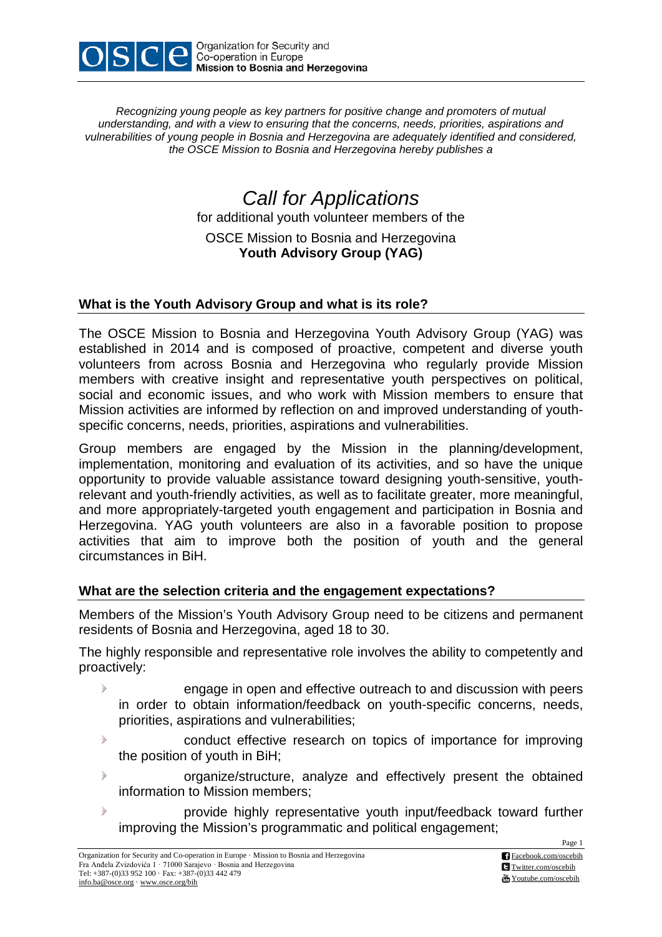

*Recognizing young people as key partners for positive change and promoters of mutual understanding, and with a view to ensuring that the concerns, needs, priorities, aspirations and vulnerabilities of young people in Bosnia and Herzegovina are adequately identified and considered, the OSCE Mission to Bosnia and Herzegovina hereby publishes a*

> *Call for Applications* for additional youth volunteer members of the OSCE Mission to Bosnia and Herzegovina **Youth Advisory Group (YAG)**

## **What is the Youth Advisory Group and what is its role?**

The OSCE Mission to Bosnia and Herzegovina Youth Advisory Group (YAG) was established in 2014 and is composed of proactive, competent and diverse youth volunteers from across Bosnia and Herzegovina who regularly provide Mission members with creative insight and representative youth perspectives on political, social and economic issues, and who work with Mission members to ensure that Mission activities are informed by reflection on and improved understanding of youthspecific concerns, needs, priorities, aspirations and vulnerabilities.

Group members are engaged by the Mission in the planning/development, implementation, monitoring and evaluation of its activities, and so have the unique opportunity to provide valuable assistance toward designing youth-sensitive, youthrelevant and youth-friendly activities, as well as to facilitate greater, more meaningful, and more appropriately-targeted youth engagement and participation in Bosnia and Herzegovina. YAG youth volunteers are also in a favorable position to propose activities that aim to improve both the position of youth and the general circumstances in BiH.

## **What are the selection criteria and the engagement expectations?**

Members of the Mission's Youth Advisory Group need to be citizens and permanent residents of Bosnia and Herzegovina, aged 18 to 30.

The highly responsible and representative role involves the ability to competently and proactively:

- $\triangleright$ engage in open and effective outreach to and discussion with peers in order to obtain information/feedback on youth-specific concerns, needs, priorities, aspirations and vulnerabilities;
- $\mathcal{P}$ conduct effective research on topics of importance for improving the position of youth in BiH;
- $\triangleright$ organize/structure, analyze and effectively present the obtained information to Mission members;
- $\triangleright$ provide highly representative youth input/feedback toward further improving the Mission's programmatic and political engagement;